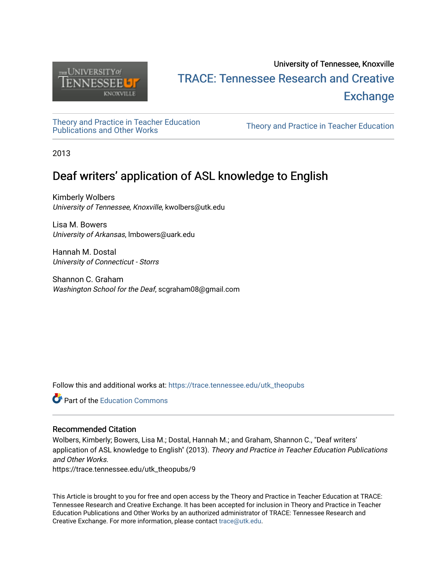

# University of Tennessee, Knoxville TRACE: T[ennessee Research and Cr](https://trace.tennessee.edu/)eative **Exchange**

[Theory and Practice in Teacher Education](https://trace.tennessee.edu/utk_theopubs)

Theory and Practice in Teacher Education

2013

# Deaf writers' application of ASL knowledge to English

Kimberly Wolbers University of Tennessee, Knoxville, kwolbers@utk.edu

Lisa M. Bowers University of Arkansas, lmbowers@uark.edu

Hannah M. Dostal University of Connecticut - Storrs

Shannon C. Graham Washington School for the Deaf, scgraham08@gmail.com

Follow this and additional works at: [https://trace.tennessee.edu/utk\\_theopubs](https://trace.tennessee.edu/utk_theopubs?utm_source=trace.tennessee.edu%2Futk_theopubs%2F9&utm_medium=PDF&utm_campaign=PDFCoverPages)

**Part of the [Education Commons](https://network.bepress.com/hgg/discipline/784?utm_source=trace.tennessee.edu%2Futk_theopubs%2F9&utm_medium=PDF&utm_campaign=PDFCoverPages)** 

## Recommended Citation

Wolbers, Kimberly; Bowers, Lisa M.; Dostal, Hannah M.; and Graham, Shannon C., "Deaf writers' application of ASL knowledge to English" (2013). Theory and Practice in Teacher Education Publications and Other Works.

https://trace.tennessee.edu/utk\_theopubs/9

This Article is brought to you for free and open access by the Theory and Practice in Teacher Education at TRACE: Tennessee Research and Creative Exchange. It has been accepted for inclusion in Theory and Practice in Teacher Education Publications and Other Works by an authorized administrator of TRACE: Tennessee Research and Creative Exchange. For more information, please contact [trace@utk.edu](mailto:trace@utk.edu).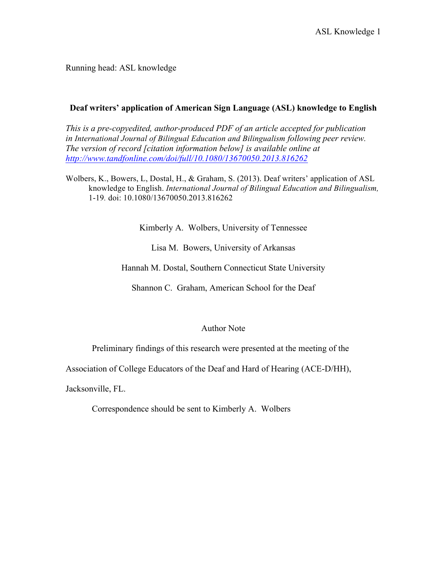Running head: ASL knowledge

# **Deaf writers' application of American Sign Language (ASL) knowledge to English**

*This is a pre-copyedited, author-produced PDF of an article accepted for publication in International Journal of Bilingual Education and Bilingualism following peer review. The version of record [citation information below] is available online at http://www.tandfonline.com/doi/full/10.1080/13670050.2013.816262*

Wolbers, K., Bowers, L, Dostal, H., & Graham, S. (2013). Deaf writers' application of ASL knowledge to English. *International Journal of Bilingual Education and Bilingualism,*  1-19*.* doi: 10.1080/13670050.2013.816262

Kimberly A. Wolbers, University of Tennessee

Lisa M. Bowers, University of Arkansas

Hannah M. Dostal, Southern Connecticut State University

Shannon C. Graham, American School for the Deaf

## Author Note

Preliminary findings of this research were presented at the meeting of the

Association of College Educators of the Deaf and Hard of Hearing (ACE-D/HH),

Jacksonville, FL.

Correspondence should be sent to Kimberly A. Wolbers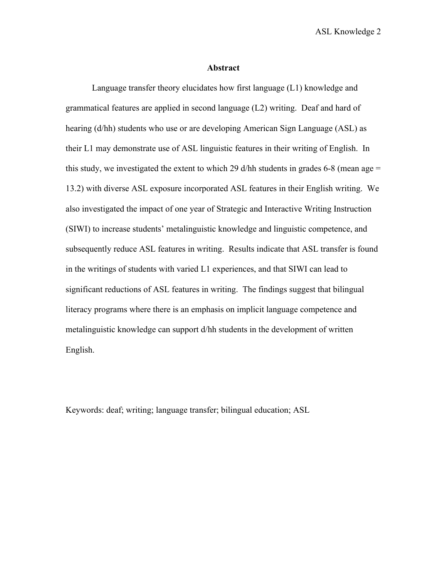ASL Knowledge 2

#### **Abstract**

Language transfer theory elucidates how first language (L1) knowledge and grammatical features are applied in second language (L2) writing. Deaf and hard of hearing (d/hh) students who use or are developing American Sign Language (ASL) as their L1 may demonstrate use of ASL linguistic features in their writing of English. In this study, we investigated the extent to which 29 d/hh students in grades 6-8 (mean age  $=$ 13.2) with diverse ASL exposure incorporated ASL features in their English writing. We also investigated the impact of one year of Strategic and Interactive Writing Instruction (SIWI) to increase students' metalinguistic knowledge and linguistic competence, and subsequently reduce ASL features in writing. Results indicate that ASL transfer is found in the writings of students with varied L1 experiences, and that SIWI can lead to significant reductions of ASL features in writing. The findings suggest that bilingual literacy programs where there is an emphasis on implicit language competence and metalinguistic knowledge can support d/hh students in the development of written English.

Keywords: deaf; writing; language transfer; bilingual education; ASL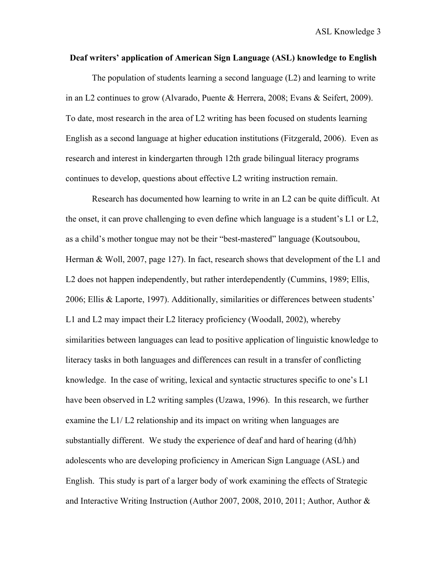## **Deaf writers' application of American Sign Language (ASL) knowledge to English**

The population of students learning a second language (L2) and learning to write in an L2 continues to grow (Alvarado, Puente & Herrera, 2008; Evans & Seifert, 2009). To date, most research in the area of L2 writing has been focused on students learning English as a second language at higher education institutions (Fitzgerald, 2006). Even as research and interest in kindergarten through 12th grade bilingual literacy programs continues to develop, questions about effective L2 writing instruction remain.

Research has documented how learning to write in an L2 can be quite difficult. At the onset, it can prove challenging to even define which language is a student's L1 or L2, as a child's mother tongue may not be their "best-mastered" language (Koutsoubou, Herman & Woll, 2007, page 127). In fact, research shows that development of the L1 and L2 does not happen independently, but rather interdependently (Cummins, 1989; Ellis, 2006; Ellis & Laporte, 1997). Additionally, similarities or differences between students' L1 and L2 may impact their L2 literacy proficiency (Woodall, 2002), whereby similarities between languages can lead to positive application of linguistic knowledge to literacy tasks in both languages and differences can result in a transfer of conflicting knowledge. In the case of writing, lexical and syntactic structures specific to one's L1 have been observed in L2 writing samples (Uzawa, 1996). In this research, we further examine the L1/ L2 relationship and its impact on writing when languages are substantially different. We study the experience of deaf and hard of hearing (d/hh) adolescents who are developing proficiency in American Sign Language (ASL) and English. This study is part of a larger body of work examining the effects of Strategic and Interactive Writing Instruction (Author 2007, 2008, 2010, 2011; Author, Author &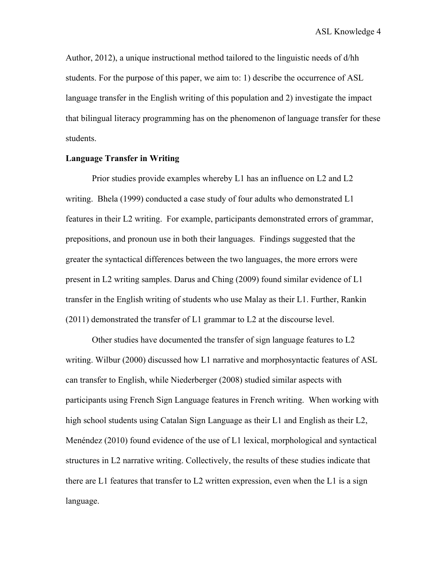Author, 2012), a unique instructional method tailored to the linguistic needs of d/hh students. For the purpose of this paper, we aim to: 1) describe the occurrence of ASL language transfer in the English writing of this population and 2) investigate the impact that bilingual literacy programming has on the phenomenon of language transfer for these students.

## **Language Transfer in Writing**

Prior studies provide examples whereby L1 has an influence on L2 and L2 writing. Bhela (1999) conducted a case study of four adults who demonstrated L1 features in their L2 writing. For example, participants demonstrated errors of grammar, prepositions, and pronoun use in both their languages. Findings suggested that the greater the syntactical differences between the two languages, the more errors were present in L2 writing samples. Darus and Ching (2009) found similar evidence of L1 transfer in the English writing of students who use Malay as their L1. Further, Rankin (2011) demonstrated the transfer of L1 grammar to L2 at the discourse level.

Other studies have documented the transfer of sign language features to L2 writing. Wilbur (2000) discussed how L1 narrative and morphosyntactic features of ASL can transfer to English, while Niederberger (2008) studied similar aspects with participants using French Sign Language features in French writing. When working with high school students using Catalan Sign Language as their L1 and English as their L2, Menéndez (2010) found evidence of the use of L1 lexical, morphological and syntactical structures in L2 narrative writing. Collectively, the results of these studies indicate that there are L1 features that transfer to L2 written expression, even when the L1 is a sign language.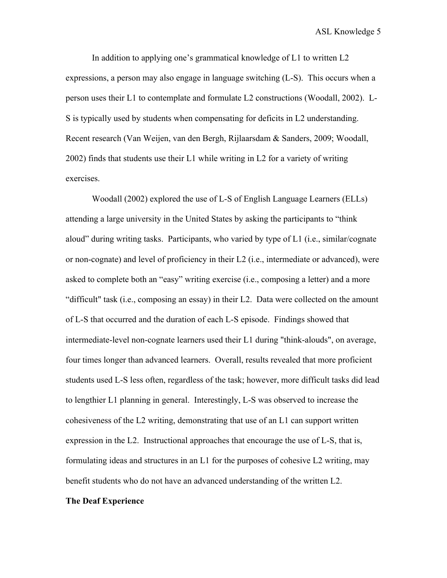In addition to applying one's grammatical knowledge of L1 to written L2 expressions, a person may also engage in language switching (L-S). This occurs when a person uses their L1 to contemplate and formulate L2 constructions (Woodall, 2002). L-S is typically used by students when compensating for deficits in L2 understanding. Recent research (Van Weijen, van den Bergh, Rijlaarsdam & Sanders, 2009; Woodall, 2002) finds that students use their L1 while writing in L2 for a variety of writing exercises.

Woodall (2002) explored the use of L-S of English Language Learners (ELLs) attending a large university in the United States by asking the participants to "think aloud" during writing tasks. Participants, who varied by type of L1 (i.e., similar/cognate or non-cognate) and level of proficiency in their L2 (i.e., intermediate or advanced), were asked to complete both an "easy" writing exercise (i.e., composing a letter) and a more "difficult" task (i.e., composing an essay) in their L2. Data were collected on the amount of L-S that occurred and the duration of each L-S episode. Findings showed that intermediate-level non-cognate learners used their L1 during "think-alouds", on average, four times longer than advanced learners. Overall, results revealed that more proficient students used L-S less often, regardless of the task; however, more difficult tasks did lead to lengthier L1 planning in general. Interestingly, L-S was observed to increase the cohesiveness of the L2 writing, demonstrating that use of an L1 can support written expression in the L2. Instructional approaches that encourage the use of L-S, that is, formulating ideas and structures in an L1 for the purposes of cohesive L2 writing, may benefit students who do not have an advanced understanding of the written L2.

#### **The Deaf Experience**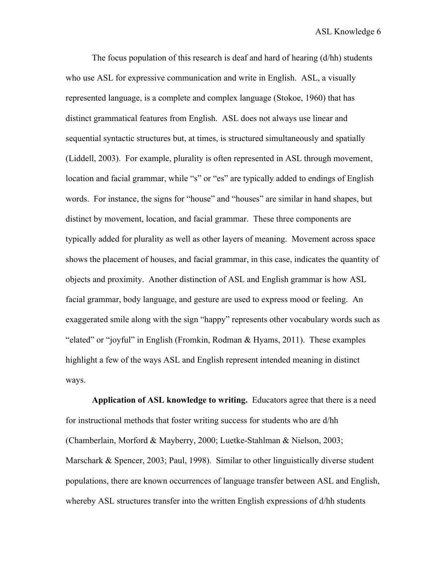The focus population of this research is deaf and hard of hearing (d/hh) students who use ASL for expressive communication and write in English. ASL, a visually represented language, is a complete and complex language (Stokoe, 1960) that has distinct grammatical features from English. ASL does not always use linear and sequential syntactic structures but, at times, is structured simultaneously and spatially (Liddell, 2003). For example, plurality is often represented in ASL through movement, location and facial grammar, while "s" or "es" are typically added to endings of English words. For instance, the signs for "house" and "houses" are similar in hand shapes, but distinct by movement, location, and facial grammar. These three components are typically added for plurality as well as other layers of meaning. Movement across space shows the placement of houses, and facial grammar, in this case, indicates the quantity of objects and proximity. Another distinction of ASL and English grammar is how ASL facial grammar, body language, and gesture are used to express mood or feeling. An exaggerated smile along with the sign "happy" represents other vocabulary words such as "elated" or "joyful" in English (Fromkin, Rodman & Hyams, 2011). These examples highlight a few of the ways ASL and English represent intended meaning in distinct ways.

**Application of ASL knowledge to writing.** Educators agree that there is a need for instructional methods that foster writing success for students who are d/hh (Chamberlain, Morford & Mayberry, 2000; Luetke-Stahlman & Nielson, 2003; Marschark & Spencer, 2003; Paul, 1998). Similar to other linguistically diverse student populations, there are known occurrences of language transfer between ASL and English, whereby ASL structures transfer into the written English expressions of d/hh students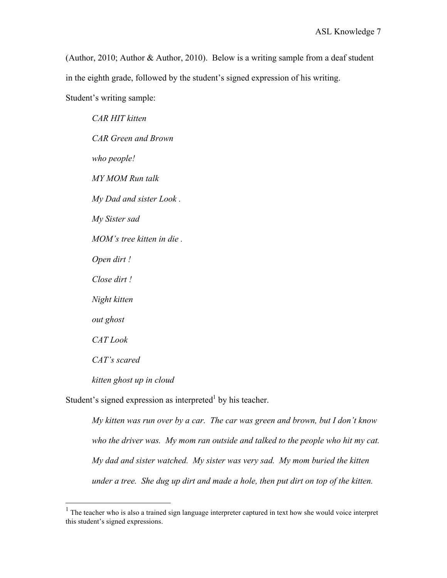(Author, 2010; Author & Author, 2010). Below is a writing sample from a deaf student in the eighth grade, followed by the student's signed expression of his writing. Student's writing sample:

*CAR HIT kitten CAR Green and Brown who people! MY MOM Run talk My Dad and sister Look . My Sister sad MOM's tree kitten in die . Open dirt ! Close dirt ! Night kitten out ghost CAT Look CAT's scared*

*kitten ghost up in cloud*

Student's signed expression as interpreted<sup>1</sup> by his teacher.

*My kitten was run over by a car. The car was green and brown, but I don't know who the driver was. My mom ran outside and talked to the people who hit my cat. My dad and sister watched. My sister was very sad. My mom buried the kitten under a tree. She dug up dirt and made a hole, then put dirt on top of the kitten.* 

<sup>&</sup>lt;sup>1</sup> The teacher who is also a trained sign language interpreter captured in text how she would voice interpret this student's signed expressions.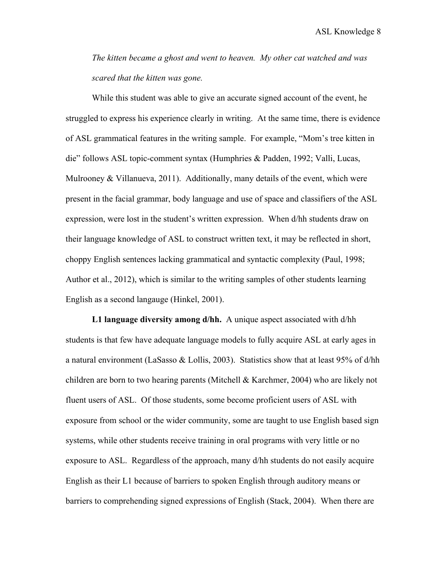*The kitten became a ghost and went to heaven. My other cat watched and was scared that the kitten was gone.* 

While this student was able to give an accurate signed account of the event, he struggled to express his experience clearly in writing. At the same time, there is evidence of ASL grammatical features in the writing sample. For example, "Mom's tree kitten in die" follows ASL topic-comment syntax (Humphries & Padden, 1992; Valli, Lucas, Mulrooney  $& Villanueva, 2011)$ . Additionally, many details of the event, which were present in the facial grammar, body language and use of space and classifiers of the ASL expression, were lost in the student's written expression. When d/hh students draw on their language knowledge of ASL to construct written text, it may be reflected in short, choppy English sentences lacking grammatical and syntactic complexity (Paul, 1998; Author et al., 2012), which is similar to the writing samples of other students learning English as a second langauge (Hinkel, 2001).

**L1 language diversity among d/hh.** A unique aspect associated with d/hh students is that few have adequate language models to fully acquire ASL at early ages in a natural environment (LaSasso & Lollis, 2003). Statistics show that at least 95% of  $d/hh$ children are born to two hearing parents (Mitchell & Karchmer, 2004) who are likely not fluent users of ASL. Of those students, some become proficient users of ASL with exposure from school or the wider community, some are taught to use English based sign systems, while other students receive training in oral programs with very little or no exposure to ASL. Regardless of the approach, many d/hh students do not easily acquire English as their L1 because of barriers to spoken English through auditory means or barriers to comprehending signed expressions of English (Stack, 2004). When there are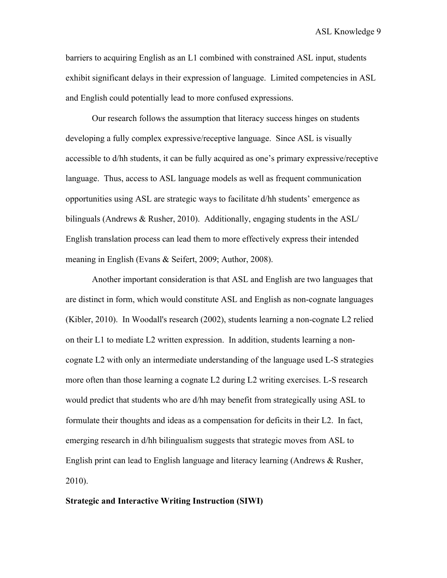barriers to acquiring English as an L1 combined with constrained ASL input, students exhibit significant delays in their expression of language. Limited competencies in ASL and English could potentially lead to more confused expressions.

Our research follows the assumption that literacy success hinges on students developing a fully complex expressive/receptive language. Since ASL is visually accessible to d/hh students, it can be fully acquired as one's primary expressive/receptive language. Thus, access to ASL language models as well as frequent communication opportunities using ASL are strategic ways to facilitate d/hh students' emergence as bilinguals (Andrews & Rusher, 2010). Additionally, engaging students in the ASL/ English translation process can lead them to more effectively express their intended meaning in English (Evans & Seifert, 2009; Author, 2008).

Another important consideration is that ASL and English are two languages that are distinct in form, which would constitute ASL and English as non-cognate languages (Kibler, 2010). In Woodall's research (2002), students learning a non-cognate L2 relied on their L1 to mediate L2 written expression. In addition, students learning a noncognate L2 with only an intermediate understanding of the language used L-S strategies more often than those learning a cognate L2 during L2 writing exercises. L-S research would predict that students who are d/hh may benefit from strategically using ASL to formulate their thoughts and ideas as a compensation for deficits in their L2. In fact, emerging research in d/hh bilingualism suggests that strategic moves from ASL to English print can lead to English language and literacy learning (Andrews & Rusher, 2010).

#### **Strategic and Interactive Writing Instruction (SIWI)**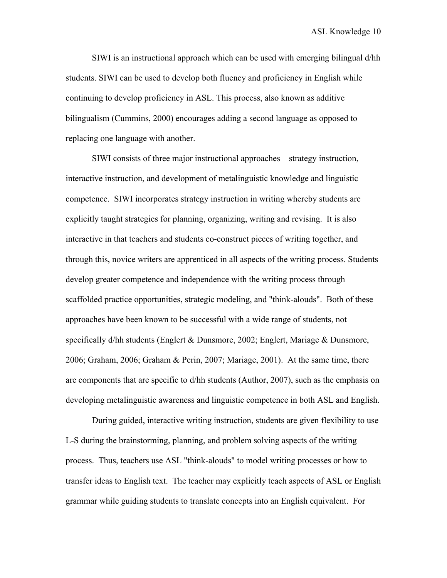SIWI is an instructional approach which can be used with emerging bilingual d/hh students. SIWI can be used to develop both fluency and proficiency in English while continuing to develop proficiency in ASL. This process, also known as additive bilingualism (Cummins, 2000) encourages adding a second language as opposed to replacing one language with another.

SIWI consists of three major instructional approaches—strategy instruction, interactive instruction, and development of metalinguistic knowledge and linguistic competence. SIWI incorporates strategy instruction in writing whereby students are explicitly taught strategies for planning, organizing, writing and revising. It is also interactive in that teachers and students co-construct pieces of writing together, and through this, novice writers are apprenticed in all aspects of the writing process. Students develop greater competence and independence with the writing process through scaffolded practice opportunities, strategic modeling, and "think-alouds". Both of these approaches have been known to be successful with a wide range of students, not specifically d/hh students (Englert & Dunsmore, 2002; Englert, Mariage & Dunsmore, 2006; Graham, 2006; Graham & Perin, 2007; Mariage, 2001). At the same time, there are components that are specific to d/hh students (Author, 2007), such as the emphasis on developing metalinguistic awareness and linguistic competence in both ASL and English.

During guided, interactive writing instruction, students are given flexibility to use L-S during the brainstorming, planning, and problem solving aspects of the writing process. Thus, teachers use ASL "think-alouds" to model writing processes or how to transfer ideas to English text. The teacher may explicitly teach aspects of ASL or English grammar while guiding students to translate concepts into an English equivalent. For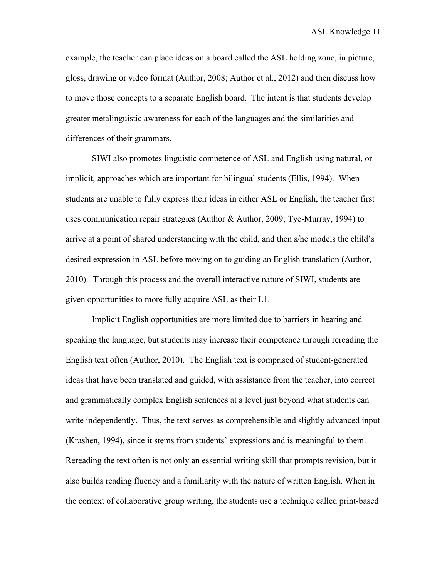example, the teacher can place ideas on a board called the ASL holding zone, in picture, gloss, drawing or video format (Author, 2008; Author et al., 2012) and then discuss how to move those concepts to a separate English board. The intent is that students develop greater metalinguistic awareness for each of the languages and the similarities and differences of their grammars.

SIWI also promotes linguistic competence of ASL and English using natural, or implicit, approaches which are important for bilingual students (Ellis, 1994). When students are unable to fully express their ideas in either ASL or English, the teacher first uses communication repair strategies (Author & Author, 2009; Tye-Murray, 1994) to arrive at a point of shared understanding with the child, and then s/he models the child's desired expression in ASL before moving on to guiding an English translation (Author, 2010). Through this process and the overall interactive nature of SIWI, students are given opportunities to more fully acquire ASL as their L1.

Implicit English opportunities are more limited due to barriers in hearing and speaking the language, but students may increase their competence through rereading the English text often (Author, 2010). The English text is comprised of student-generated ideas that have been translated and guided, with assistance from the teacher, into correct and grammatically complex English sentences at a level just beyond what students can write independently. Thus, the text serves as comprehensible and slightly advanced input (Krashen, 1994), since it stems from students' expressions and is meaningful to them. Rereading the text often is not only an essential writing skill that prompts revision, but it also builds reading fluency and a familiarity with the nature of written English. When in the context of collaborative group writing, the students use a technique called print-based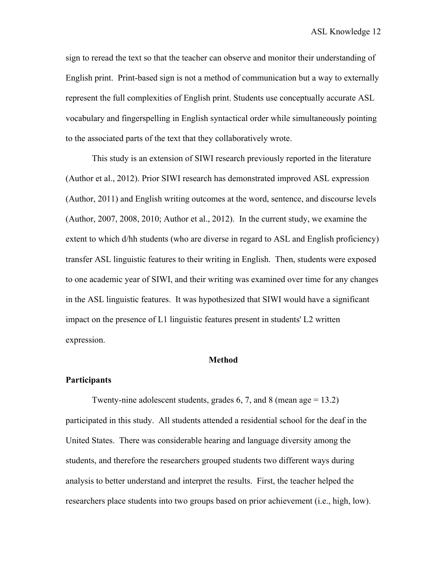sign to reread the text so that the teacher can observe and monitor their understanding of English print. Print-based sign is not a method of communication but a way to externally represent the full complexities of English print. Students use conceptually accurate ASL vocabulary and fingerspelling in English syntactical order while simultaneously pointing to the associated parts of the text that they collaboratively wrote.

This study is an extension of SIWI research previously reported in the literature (Author et al., 2012). Prior SIWI research has demonstrated improved ASL expression (Author, 2011) and English writing outcomes at the word, sentence, and discourse levels (Author, 2007, 2008, 2010; Author et al., 2012). In the current study, we examine the extent to which d/hh students (who are diverse in regard to ASL and English proficiency) transfer ASL linguistic features to their writing in English. Then, students were exposed to one academic year of SIWI, and their writing was examined over time for any changes in the ASL linguistic features. It was hypothesized that SIWI would have a significant impact on the presence of L1 linguistic features present in students' L2 written expression.

## **Method**

#### **Participants**

Twenty-nine adolescent students, grades 6, 7, and 8 (mean age  $= 13.2$ ) participated in this study. All students attended a residential school for the deaf in the United States. There was considerable hearing and language diversity among the students, and therefore the researchers grouped students two different ways during analysis to better understand and interpret the results. First, the teacher helped the researchers place students into two groups based on prior achievement (i.e., high, low).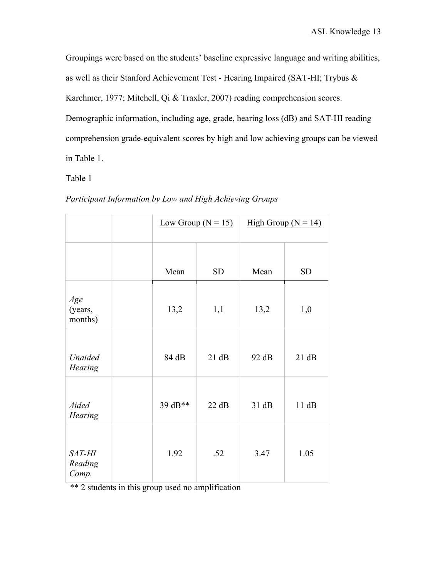Groupings were based on the students' baseline expressive language and writing abilities, as well as their Stanford Achievement Test - Hearing Impaired (SAT-HI; Trybus & Karchmer, 1977; Mitchell, Qi & Traxler, 2007) reading comprehension scores. Demographic information, including age, grade, hearing loss (dB) and SAT-HI reading comprehension grade-equivalent scores by high and low achieving groups can be viewed in Table 1.

Table 1

|                            |         | Low Group $(N = 15)$ |       | High Group ( $N = 14$ ) |  |  |
|----------------------------|---------|----------------------|-------|-------------------------|--|--|
|                            | Mean    | <b>SD</b>            | Mean  | <b>SD</b>               |  |  |
| Age<br>(years,<br>months)  | 13,2    | 1,1<br>13,2          |       | 1,0                     |  |  |
| Unaided<br><b>Hearing</b>  | 84 dB   | 21 dB                | 92 dB | 21 dB                   |  |  |
| Aided<br><b>Hearing</b>    | 39 dB** | 22 dB                | 31 dB | 11 dB                   |  |  |
| SAT-HI<br>Reading<br>Comp. | 1.92    | .52                  | 3.47  | 1.05                    |  |  |

## *Participant Information by Low and High Achieving Groups*

\*\* 2 students in this group used no amplification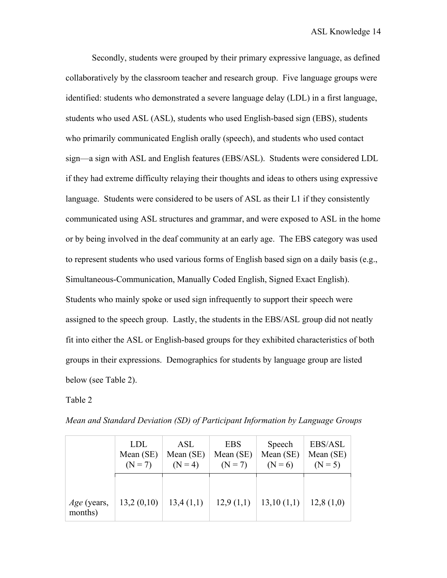Secondly, students were grouped by their primary expressive language, as defined collaboratively by the classroom teacher and research group. Five language groups were identified: students who demonstrated a severe language delay (LDL) in a first language, students who used ASL (ASL), students who used English-based sign (EBS), students who primarily communicated English orally (speech), and students who used contact sign—a sign with ASL and English features (EBS/ASL). Students were considered LDL if they had extreme difficulty relaying their thoughts and ideas to others using expressive language. Students were considered to be users of ASL as their L1 if they consistently communicated using ASL structures and grammar, and were exposed to ASL in the home or by being involved in the deaf community at an early age. The EBS category was used to represent students who used various forms of English based sign on a daily basis (e.g., Simultaneous-Communication, Manually Coded English, Signed Exact English). Students who mainly spoke or used sign infrequently to support their speech were assigned to the speech group. Lastly, the students in the EBS/ASL group did not neatly fit into either the ASL or English-based groups for they exhibited characteristics of both groups in their expressions. Demographics for students by language group are listed below (see Table 2).

Table 2

|                               | <b>LDL</b> | <b>ASL</b> | <b>EBS</b> | Speech     | EBS/ASL     |
|-------------------------------|------------|------------|------------|------------|-------------|
|                               | Mean (SE)  | Mean (SE)  | Mean (SE)  | Mean (SE)  | Mean $(SE)$ |
|                               | $(N = 7)$  | $(N = 4)$  | $(N = 7)$  | $(N = 6)$  | $(N = 5)$   |
| <i>Age</i> (years,<br>months) | 13,2(0,10) | 13,4(1,1)  | 12,9(1,1)  | 13,10(1,1) | 12,8(1,0)   |

*Mean and Standard Deviation (SD) of Participant Information by Language Groups*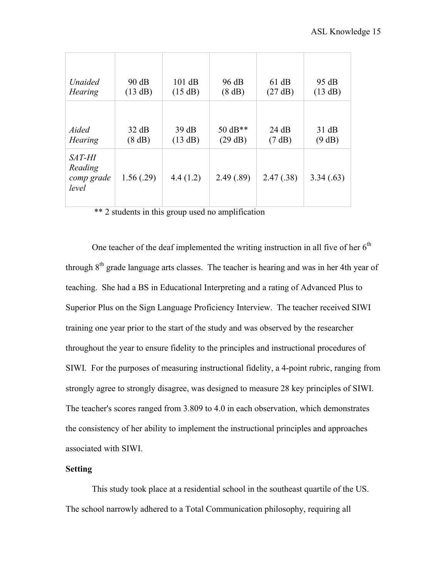| Unaided                                         | 90 dB     | 101 dB   | 96 dB     | 61 dB     | 95 dB     |
|-------------------------------------------------|-----------|----------|-----------|-----------|-----------|
| <b>Hearing</b>                                  | (13 dB)   | (15 dB)  | (8 dB)    | (27 dB)   | (13 dB)   |
| Aided                                           | 32 dB     | 39dB     | 50 $dB**$ | 24 dB     | 31 dB     |
| <b>Hearing</b>                                  | (8 dB)    | (13 dB)  | (29 dB)   | (7 dB)    | (9 dB)    |
| <i>SAT-HI</i><br>Reading<br>comp grade<br>level | 1.56(.29) | 4.4(1.2) | 2.49(.89) | 2.47(.38) | 3.34(.63) |

\*\* 2 students in this group used no amplification

One teacher of the deaf implemented the writing instruction in all five of her  $6<sup>th</sup>$ through  $8<sup>th</sup>$  grade language arts classes. The teacher is hearing and was in her 4th year of teaching. She had a BS in Educational Interpreting and a rating of Advanced Plus to Superior Plus on the Sign Language Proficiency Interview. The teacher received SIWI training one year prior to the start of the study and was observed by the researcher throughout the year to ensure fidelity to the principles and instructional procedures of SIWI. For the purposes of measuring instructional fidelity, a 4-point rubric, ranging from strongly agree to strongly disagree, was designed to measure 28 key principles of SIWI. The teacher's scores ranged from 3.809 to 4.0 in each observation, which demonstrates the consistency of her ability to implement the instructional principles and approaches associated with SIWI.

## **Setting**

This study took place at a residential school in the southeast quartile of the US. The school narrowly adhered to a Total Communication philosophy, requiring all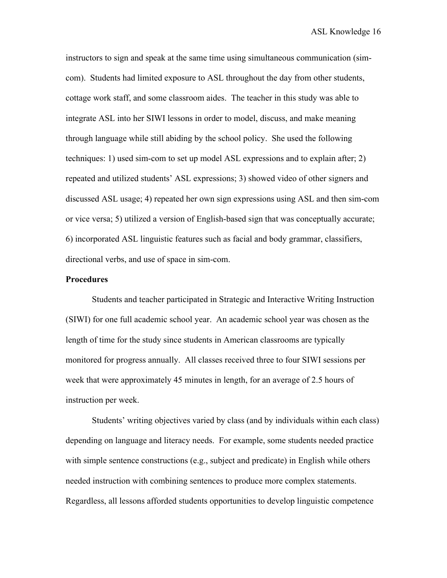instructors to sign and speak at the same time using simultaneous communication (simcom). Students had limited exposure to ASL throughout the day from other students, cottage work staff, and some classroom aides. The teacher in this study was able to integrate ASL into her SIWI lessons in order to model, discuss, and make meaning through language while still abiding by the school policy. She used the following techniques: 1) used sim-com to set up model ASL expressions and to explain after; 2) repeated and utilized students' ASL expressions; 3) showed video of other signers and discussed ASL usage; 4) repeated her own sign expressions using ASL and then sim-com or vice versa; 5) utilized a version of English-based sign that was conceptually accurate; 6) incorporated ASL linguistic features such as facial and body grammar, classifiers, directional verbs, and use of space in sim-com.

## **Procedures**

Students and teacher participated in Strategic and Interactive Writing Instruction (SIWI) for one full academic school year. An academic school year was chosen as the length of time for the study since students in American classrooms are typically monitored for progress annually. All classes received three to four SIWI sessions per week that were approximately 45 minutes in length, for an average of 2.5 hours of instruction per week.

Students' writing objectives varied by class (and by individuals within each class) depending on language and literacy needs. For example, some students needed practice with simple sentence constructions (e.g., subject and predicate) in English while others needed instruction with combining sentences to produce more complex statements. Regardless, all lessons afforded students opportunities to develop linguistic competence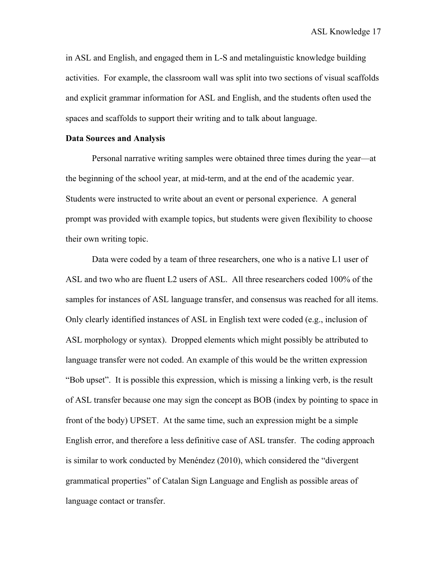in ASL and English, and engaged them in L-S and metalinguistic knowledge building activities. For example, the classroom wall was split into two sections of visual scaffolds and explicit grammar information for ASL and English, and the students often used the spaces and scaffolds to support their writing and to talk about language.

## **Data Sources and Analysis**

Personal narrative writing samples were obtained three times during the year—at the beginning of the school year, at mid-term, and at the end of the academic year. Students were instructed to write about an event or personal experience. A general prompt was provided with example topics, but students were given flexibility to choose their own writing topic.

Data were coded by a team of three researchers, one who is a native L1 user of ASL and two who are fluent L2 users of ASL. All three researchers coded 100% of the samples for instances of ASL language transfer, and consensus was reached for all items. Only clearly identified instances of ASL in English text were coded (e.g., inclusion of ASL morphology or syntax). Dropped elements which might possibly be attributed to language transfer were not coded. An example of this would be the written expression "Bob upset". It is possible this expression, which is missing a linking verb, is the result of ASL transfer because one may sign the concept as BOB (index by pointing to space in front of the body) UPSET. At the same time, such an expression might be a simple English error, and therefore a less definitive case of ASL transfer. The coding approach is similar to work conducted by Menéndez (2010), which considered the "divergent grammatical properties" of Catalan Sign Language and English as possible areas of language contact or transfer.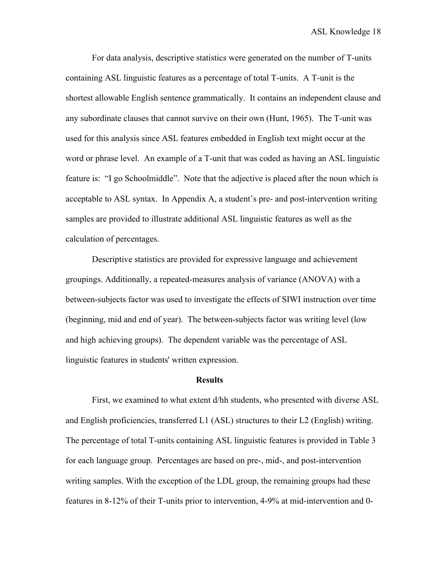For data analysis, descriptive statistics were generated on the number of T-units containing ASL linguistic features as a percentage of total T-units. A T-unit is the shortest allowable English sentence grammatically. It contains an independent clause and any subordinate clauses that cannot survive on their own (Hunt, 1965). The T-unit was used for this analysis since ASL features embedded in English text might occur at the word or phrase level. An example of a T-unit that was coded as having an ASL linguistic feature is: "I go Schoolmiddle". Note that the adjective is placed after the noun which is acceptable to ASL syntax. In Appendix A, a student's pre- and post-intervention writing samples are provided to illustrate additional ASL linguistic features as well as the calculation of percentages.

Descriptive statistics are provided for expressive language and achievement groupings. Additionally, a repeated-measures analysis of variance (ANOVA) with a between-subjects factor was used to investigate the effects of SIWI instruction over time (beginning, mid and end of year). The between-subjects factor was writing level (low and high achieving groups). The dependent variable was the percentage of ASL linguistic features in students' written expression.

#### **Results**

First, we examined to what extent d/hh students, who presented with diverse ASL and English proficiencies, transferred L1 (ASL) structures to their L2 (English) writing. The percentage of total T-units containing ASL linguistic features is provided in Table 3 for each language group. Percentages are based on pre-, mid-, and post-intervention writing samples. With the exception of the LDL group, the remaining groups had these features in 8-12% of their T-units prior to intervention, 4-9% at mid-intervention and 0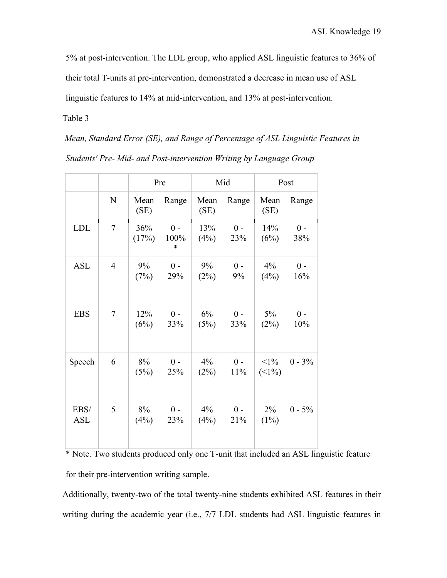5% at post-intervention. The LDL group, who applied ASL linguistic features to 36% of

their total T-units at pre-intervention, demonstrated a decrease in mean use of ASL

linguistic features to 14% at mid-intervention, and 13% at post-intervention.

Table 3

*Mean, Standard Error (SE), and Range of Percentage of ASL Linguistic Features in Students' Pre- Mid- and Post-intervention Writing by Language Group* 

|                    |                |              | Pre                     |              | Mid          | Post             |              |
|--------------------|----------------|--------------|-------------------------|--------------|--------------|------------------|--------------|
|                    | N              | Mean<br>(SE) | Range                   | Mean<br>(SE) | Range        | Mean<br>(SE)     | Range        |
| <b>LDL</b>         | $\tau$         | 36%<br>(17%) | $0 -$<br>100%<br>$\ast$ | 13%<br>(4%)  | $0 -$<br>23% | 14%<br>(6%)      | $0 -$<br>38% |
| <b>ASL</b>         | $\overline{4}$ | 9%<br>(7%)   | $0 -$<br>29%            | 9%<br>(2%)   | $0 -$<br>9%  | 4%<br>(4%)       | $0 -$<br>16% |
| <b>EBS</b>         | 7              | 12%<br>(6%)  | $0 -$<br>33%            | 6%<br>(5%)   | $0 -$<br>33% | 5%<br>(2%)       | $0 -$<br>10% |
| Speech             | 6              | 8%<br>(5%)   | $0 -$<br>25%            | 4%<br>(2%)   | $0 -$<br>11% | $<1\%$<br>(      | $0 - 3\%$    |
| EBS/<br><b>ASL</b> | 5              | 8%<br>(4%)   | $0$ -<br>23%            | 4%<br>(4%)   | $0 -$<br>21% | $2\%$<br>$(1\%)$ | $0 - 5\%$    |

\* Note. Two students produced only one T-unit that included an ASL linguistic feature for their pre-intervention writing sample.

Additionally, twenty-two of the total twenty-nine students exhibited ASL features in their writing during the academic year (i.e., 7/7 LDL students had ASL linguistic features in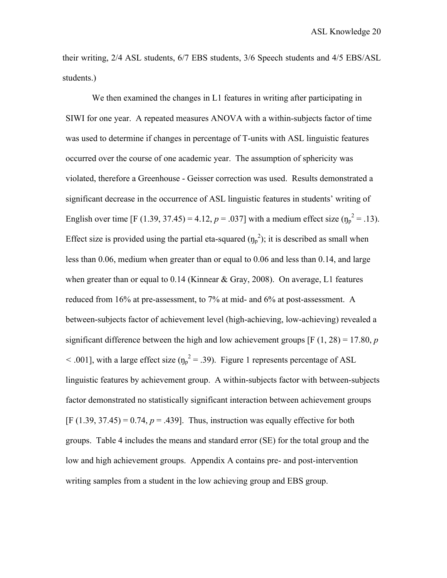their writing, 2/4 ASL students, 6/7 EBS students, 3/6 Speech students and 4/5 EBS/ASL students.)

We then examined the changes in L1 features in writing after participating in SIWI for one year. A repeated measures ANOVA with a within-subjects factor of time was used to determine if changes in percentage of T-units with ASL linguistic features occurred over the course of one academic year. The assumption of sphericity was violated, therefore a Greenhouse - Geisser correction was used. Results demonstrated a significant decrease in the occurrence of ASL linguistic features in students' writing of English over time [F (1.39, 37.45) = 4.12,  $p = .037$ ] with a medium effect size ( $\eta_p^2 = .13$ ). Effect size is provided using the partial eta-squared  $(\eta_p^2)$ ; it is described as small when less than 0.06, medium when greater than or equal to 0.06 and less than 0.14, and large when greater than or equal to  $0.14$  (Kinnear & Gray, 2008). On average, L1 features reduced from 16% at pre-assessment, to 7% at mid- and 6% at post-assessment. A between-subjects factor of achievement level (high-achieving, low-achieving) revealed a significant difference between the high and low achievement groups  $[F(1, 28) = 17.80, p]$  $\leq$  .001], with a large effect size ( $\eta_p^2 = 0.39$ ). Figure 1 represents percentage of ASL linguistic features by achievement group. A within-subjects factor with between-subjects factor demonstrated no statistically significant interaction between achievement groups  $[F (1.39, 37.45) = 0.74, p = .439]$ . Thus, instruction was equally effective for both groups. Table 4 includes the means and standard error (SE) for the total group and the low and high achievement groups. Appendix A contains pre- and post-intervention writing samples from a student in the low achieving group and EBS group.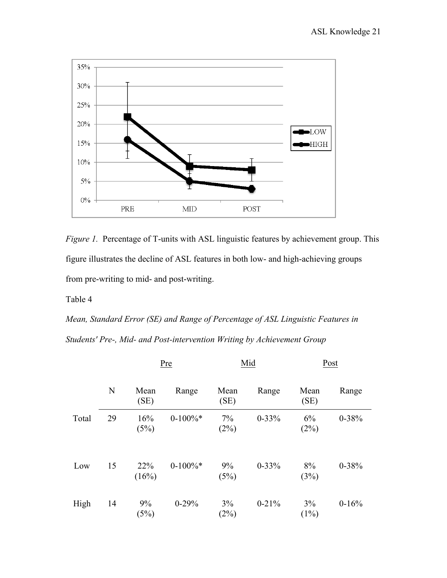

*Figure 1.* Percentage of T-units with ASL linguistic features by achievement group. This figure illustrates the decline of ASL features in both low- and high-achieving groups from pre-writing to mid- and post-writing.

Table 4

*Mean, Standard Error (SE) and Range of Percentage of ASL Linguistic Features in Students' Pre-, Mid- and Post-intervention Writing by Achievement Group* 

|       |    | Pre          |            | Mid          |           | Post          |           |
|-------|----|--------------|------------|--------------|-----------|---------------|-----------|
|       | N  | Mean<br>(SE) | Range      | Mean<br>(SE) | Range     | Mean<br>(SE)  | Range     |
| Total | 29 | 16%<br>(5%)  | $0-100\%*$ | 7%<br>(2%)   | $0 - 33%$ | 6%<br>(2%)    | $0 - 38%$ |
| Low   | 15 | 22%<br>(16%) | $0-100\%*$ | 9%<br>(5%)   | $0 - 33%$ | 8%<br>(3%)    | $0 - 38%$ |
| High  | 14 | 9%<br>(5%)   | $0 - 29%$  | 3%<br>(2%)   | $0-21%$   | 3%<br>$(1\%)$ | $0 - 16%$ |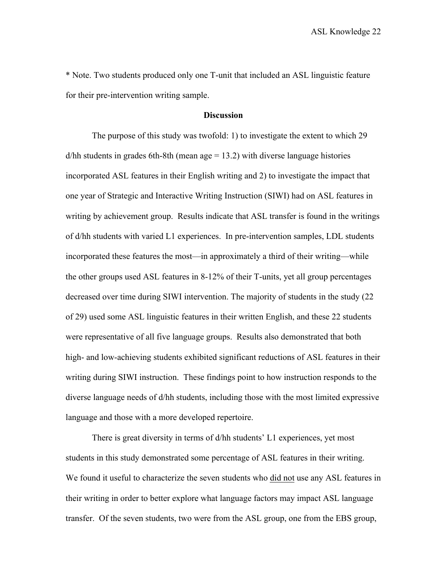\* Note. Two students produced only one T-unit that included an ASL linguistic feature for their pre-intervention writing sample.

## **Discussion**

The purpose of this study was twofold: 1) to investigate the extent to which 29  $d/hh$  students in grades 6th-8th (mean age = 13.2) with diverse language histories incorporated ASL features in their English writing and 2) to investigate the impact that one year of Strategic and Interactive Writing Instruction (SIWI) had on ASL features in writing by achievement group. Results indicate that ASL transfer is found in the writings of d/hh students with varied L1 experiences. In pre-intervention samples, LDL students incorporated these features the most—in approximately a third of their writing—while the other groups used ASL features in 8-12% of their T-units, yet all group percentages decreased over time during SIWI intervention. The majority of students in the study (22 of 29) used some ASL linguistic features in their written English, and these 22 students were representative of all five language groups. Results also demonstrated that both high- and low-achieving students exhibited significant reductions of ASL features in their writing during SIWI instruction. These findings point to how instruction responds to the diverse language needs of d/hh students, including those with the most limited expressive language and those with a more developed repertoire.

There is great diversity in terms of d/hh students' L1 experiences, yet most students in this study demonstrated some percentage of ASL features in their writing. We found it useful to characterize the seven students who did not use any ASL features in their writing in order to better explore what language factors may impact ASL language transfer. Of the seven students, two were from the ASL group, one from the EBS group,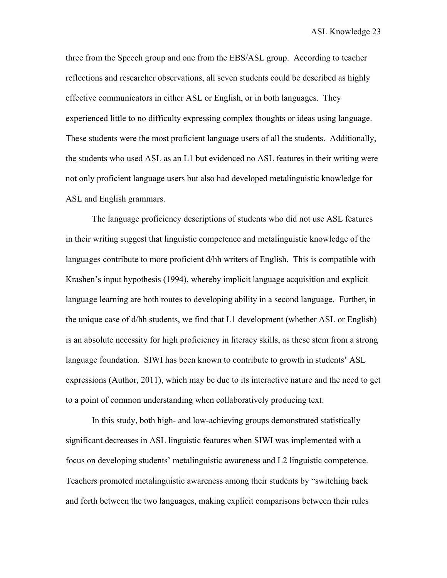three from the Speech group and one from the EBS/ASL group. According to teacher reflections and researcher observations, all seven students could be described as highly effective communicators in either ASL or English, or in both languages. They experienced little to no difficulty expressing complex thoughts or ideas using language. These students were the most proficient language users of all the students. Additionally, the students who used ASL as an L1 but evidenced no ASL features in their writing were not only proficient language users but also had developed metalinguistic knowledge for ASL and English grammars.

The language proficiency descriptions of students who did not use ASL features in their writing suggest that linguistic competence and metalinguistic knowledge of the languages contribute to more proficient d/hh writers of English. This is compatible with Krashen's input hypothesis (1994), whereby implicit language acquisition and explicit language learning are both routes to developing ability in a second language. Further, in the unique case of d/hh students, we find that L1 development (whether ASL or English) is an absolute necessity for high proficiency in literacy skills, as these stem from a strong language foundation. SIWI has been known to contribute to growth in students' ASL expressions (Author, 2011), which may be due to its interactive nature and the need to get to a point of common understanding when collaboratively producing text.

In this study, both high- and low-achieving groups demonstrated statistically significant decreases in ASL linguistic features when SIWI was implemented with a focus on developing students' metalinguistic awareness and L2 linguistic competence. Teachers promoted metalinguistic awareness among their students by "switching back and forth between the two languages, making explicit comparisons between their rules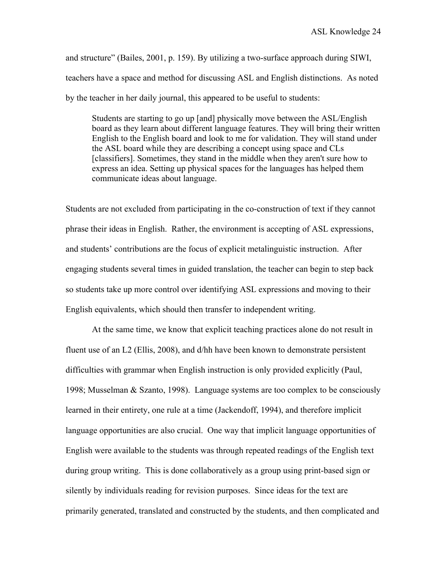and structure" (Bailes, 2001, p. 159). By utilizing a two-surface approach during SIWI, teachers have a space and method for discussing ASL and English distinctions. As noted by the teacher in her daily journal, this appeared to be useful to students:

Students are starting to go up [and] physically move between the ASL/English board as they learn about different language features. They will bring their written English to the English board and look to me for validation. They will stand under the ASL board while they are describing a concept using space and CLs [classifiers]. Sometimes, they stand in the middle when they aren't sure how to express an idea. Setting up physical spaces for the languages has helped them communicate ideas about language.

Students are not excluded from participating in the co-construction of text if they cannot phrase their ideas in English. Rather, the environment is accepting of ASL expressions, and students' contributions are the focus of explicit metalinguistic instruction. After engaging students several times in guided translation, the teacher can begin to step back so students take up more control over identifying ASL expressions and moving to their English equivalents, which should then transfer to independent writing.

At the same time, we know that explicit teaching practices alone do not result in fluent use of an L2 (Ellis, 2008), and d/hh have been known to demonstrate persistent difficulties with grammar when English instruction is only provided explicitly (Paul, 1998; Musselman & Szanto, 1998). Language systems are too complex to be consciously learned in their entirety, one rule at a time (Jackendoff, 1994), and therefore implicit language opportunities are also crucial. One way that implicit language opportunities of English were available to the students was through repeated readings of the English text during group writing. This is done collaboratively as a group using print-based sign or silently by individuals reading for revision purposes. Since ideas for the text are primarily generated, translated and constructed by the students, and then complicated and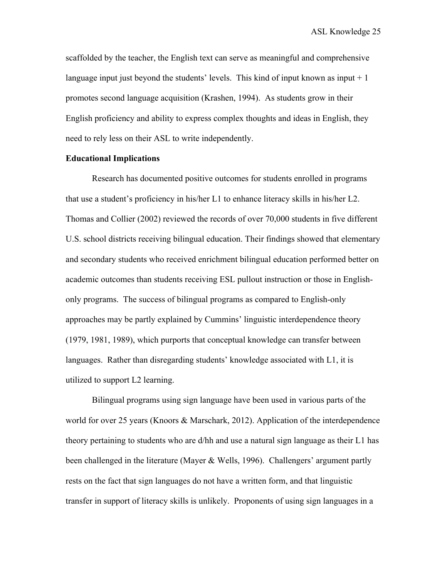scaffolded by the teacher, the English text can serve as meaningful and comprehensive language input just beyond the students' levels. This kind of input known as input  $+1$ promotes second language acquisition (Krashen, 1994). As students grow in their English proficiency and ability to express complex thoughts and ideas in English, they need to rely less on their ASL to write independently.

## **Educational Implications**

Research has documented positive outcomes for students enrolled in programs that use a student's proficiency in his/her L1 to enhance literacy skills in his/her L2. Thomas and Collier (2002) reviewed the records of over 70,000 students in five different U.S. school districts receiving bilingual education. Their findings showed that elementary and secondary students who received enrichment bilingual education performed better on academic outcomes than students receiving ESL pullout instruction or those in Englishonly programs. The success of bilingual programs as compared to English-only approaches may be partly explained by Cummins' linguistic interdependence theory (1979, 1981, 1989), which purports that conceptual knowledge can transfer between languages. Rather than disregarding students' knowledge associated with L1, it is utilized to support L2 learning.

Bilingual programs using sign language have been used in various parts of the world for over 25 years (Knoors & Marschark, 2012). Application of the interdependence theory pertaining to students who are d/hh and use a natural sign language as their L1 has been challenged in the literature (Mayer & Wells, 1996). Challengers' argument partly rests on the fact that sign languages do not have a written form, and that linguistic transfer in support of literacy skills is unlikely. Proponents of using sign languages in a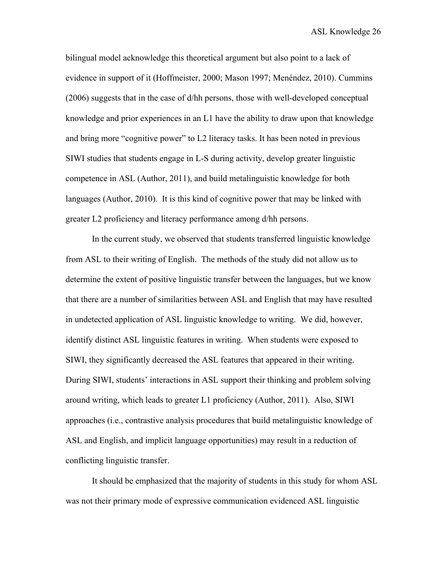bilingual model acknowledge this theoretical argument but also point to a lack of evidence in support of it (Hoffmeister, 2000; Mason 1997; Menéndez, 2010). Cummins (2006) suggests that in the case of d/hh persons, those with well-developed conceptual knowledge and prior experiences in an L1 have the ability to draw upon that knowledge and bring more "cognitive power" to L2 literacy tasks. It has been noted in previous SIWI studies that students engage in L-S during activity, develop greater linguistic competence in ASL (Author, 2011), and build metalinguistic knowledge for both languages (Author, 2010). It is this kind of cognitive power that may be linked with greater L2 proficiency and literacy performance among d/hh persons.

In the current study, we observed that students transferred linguistic knowledge from ASL to their writing of English. The methods of the study did not allow us to determine the extent of positive linguistic transfer between the languages, but we know that there are a number of similarities between ASL and English that may have resulted in undetected application of ASL linguistic knowledge to writing. We did, however, identify distinct ASL linguistic features in writing. When students were exposed to SIWI, they significantly decreased the ASL features that appeared in their writing. During SIWI, students' interactions in ASL support their thinking and problem solving around writing, which leads to greater L1 proficiency (Author, 2011). Also, SIWI approaches (i.e., contrastive analysis procedures that build metalinguistic knowledge of ASL and English, and implicit language opportunities) may result in a reduction of conflicting linguistic transfer.

It should be emphasized that the majority of students in this study for whom ASL was not their primary mode of expressive communication evidenced ASL linguistic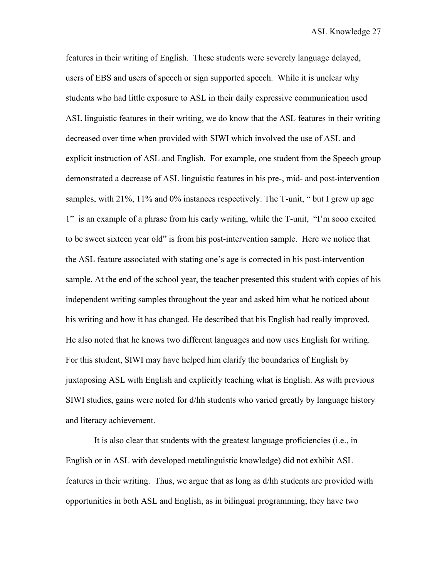features in their writing of English. These students were severely language delayed, users of EBS and users of speech or sign supported speech. While it is unclear why students who had little exposure to ASL in their daily expressive communication used ASL linguistic features in their writing, we do know that the ASL features in their writing decreased over time when provided with SIWI which involved the use of ASL and explicit instruction of ASL and English. For example, one student from the Speech group demonstrated a decrease of ASL linguistic features in his pre-, mid- and post-intervention samples, with 21%, 11% and 0% instances respectively. The T-unit, " but I grew up age 1" is an example of a phrase from his early writing, while the T-unit, "I'm sooo excited to be sweet sixteen year old" is from his post-intervention sample. Here we notice that the ASL feature associated with stating one's age is corrected in his post-intervention sample. At the end of the school year, the teacher presented this student with copies of his independent writing samples throughout the year and asked him what he noticed about his writing and how it has changed. He described that his English had really improved. He also noted that he knows two different languages and now uses English for writing. For this student, SIWI may have helped him clarify the boundaries of English by juxtaposing ASL with English and explicitly teaching what is English. As with previous SIWI studies, gains were noted for d/hh students who varied greatly by language history and literacy achievement.

It is also clear that students with the greatest language proficiencies (i.e., in English or in ASL with developed metalinguistic knowledge) did not exhibit ASL features in their writing. Thus, we argue that as long as d/hh students are provided with opportunities in both ASL and English, as in bilingual programming, they have two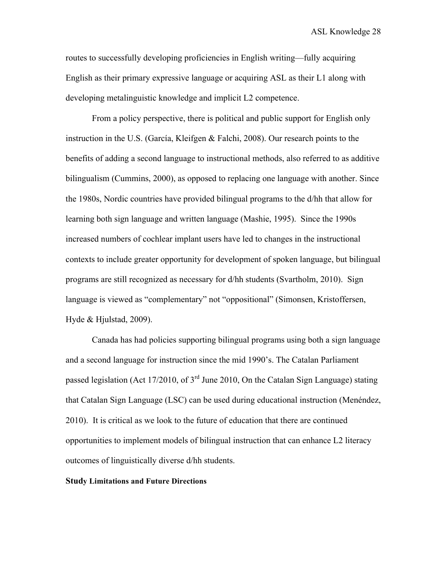routes to successfully developing proficiencies in English writing—fully acquiring English as their primary expressive language or acquiring ASL as their L1 along with developing metalinguistic knowledge and implicit L2 competence.

From a policy perspective, there is political and public support for English only instruction in the U.S. (García, Kleifgen & Falchi, 2008). Our research points to the benefits of adding a second language to instructional methods, also referred to as additive bilingualism (Cummins, 2000), as opposed to replacing one language with another. Since the 1980s, Nordic countries have provided bilingual programs to the d/hh that allow for learning both sign language and written language (Mashie, 1995). Since the 1990s increased numbers of cochlear implant users have led to changes in the instructional contexts to include greater opportunity for development of spoken language, but bilingual programs are still recognized as necessary for d/hh students (Svartholm, 2010). Sign language is viewed as "complementary" not "oppositional" (Simonsen, Kristoffersen, Hyde & Hjulstad, 2009).

Canada has had policies supporting bilingual programs using both a sign language and a second language for instruction since the mid 1990's. The Catalan Parliament passed legislation (Act 17/2010, of 3rd June 2010, On the Catalan Sign Language) stating that Catalan Sign Language (LSC) can be used during educational instruction (Menéndez, 2010). It is critical as we look to the future of education that there are continued opportunities to implement models of bilingual instruction that can enhance L2 literacy outcomes of linguistically diverse d/hh students.

#### **Study Limitations and Future Directions**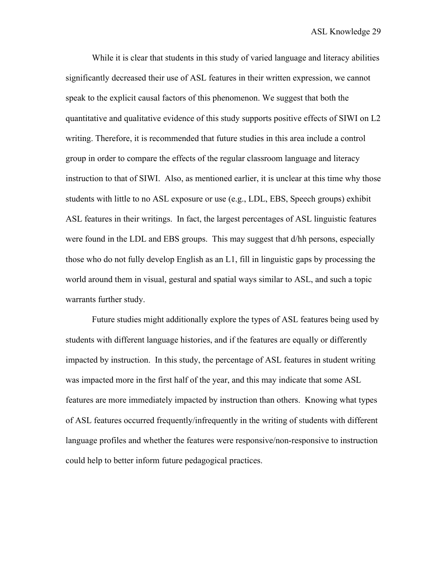While it is clear that students in this study of varied language and literacy abilities significantly decreased their use of ASL features in their written expression, we cannot speak to the explicit causal factors of this phenomenon. We suggest that both the quantitative and qualitative evidence of this study supports positive effects of SIWI on L2 writing. Therefore, it is recommended that future studies in this area include a control group in order to compare the effects of the regular classroom language and literacy instruction to that of SIWI. Also, as mentioned earlier, it is unclear at this time why those students with little to no ASL exposure or use (e.g., LDL, EBS, Speech groups) exhibit ASL features in their writings. In fact, the largest percentages of ASL linguistic features were found in the LDL and EBS groups. This may suggest that d/hh persons, especially those who do not fully develop English as an L1, fill in linguistic gaps by processing the world around them in visual, gestural and spatial ways similar to ASL, and such a topic warrants further study.

Future studies might additionally explore the types of ASL features being used by students with different language histories, and if the features are equally or differently impacted by instruction. In this study, the percentage of ASL features in student writing was impacted more in the first half of the year, and this may indicate that some ASL features are more immediately impacted by instruction than others. Knowing what types of ASL features occurred frequently/infrequently in the writing of students with different language profiles and whether the features were responsive/non-responsive to instruction could help to better inform future pedagogical practices.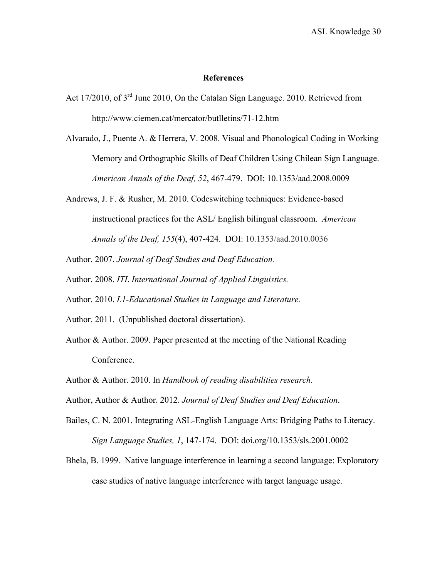## **References**

- Act 17/2010, of 3<sup>rd</sup> June 2010, On the Catalan Sign Language. 2010. Retrieved from http://www.ciemen.cat/mercator/butlletins/71-12.htm
- Alvarado, J., Puente A. & Herrera, V. 2008. Visual and Phonological Coding in Working Memory and Orthographic Skills of Deaf Children Using Chilean Sign Language. *American Annals of the Deaf, 52*, 467-479. DOI: 10.1353/aad.2008.0009
- Andrews, J. F. & Rusher, M. 2010. Codeswitching techniques: Evidence-based instructional practices for the ASL/ English bilingual classroom. *American Annals of the Deaf, 155*(4), 407-424. DOI: 10.1353/aad.2010.0036
- Author. 2007. *Journal of Deaf Studies and Deaf Education.*
- Author. 2008. *ITL International Journal of Applied Linguistics.*
- Author. 2010. *L1-Educational Studies in Language and Literature.*
- Author. 2011. (Unpublished doctoral dissertation).
- Author & Author. 2009. Paper presented at the meeting of the National Reading Conference.
- Author & Author. 2010. In *Handbook of reading disabilities research.*
- Author, Author & Author. 2012. *Journal of Deaf Studies and Deaf Education*.
- Bailes, C. N. 2001. Integrating ASL-English Language Arts: Bridging Paths to Literacy. *Sign Language Studies, 1*, 147-174. DOI: doi.org/10.1353/sls.2001.0002
- Bhela, B. 1999. Native language interference in learning a second language: Exploratory case studies of native language interference with target language usage.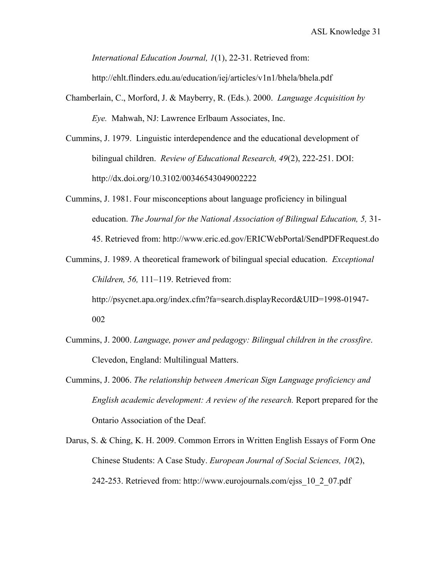*International Education Journal, 1*(1), 22-31. Retrieved from:

http://ehlt.flinders.edu.au/education/iej/articles/v1n1/bhela/bhela.pdf

- Chamberlain, C., Morford, J. & Mayberry, R. (Eds.). 2000. *Language Acquisition by Eye.* Mahwah, NJ: Lawrence Erlbaum Associates, Inc.
- Cummins, J. 1979. Linguistic interdependence and the educational development of bilingual children. *Review of Educational Research, 49*(2), 222-251. DOI: http://dx.doi.org/10.3102/00346543049002222
- Cummins, J. 1981. Four misconceptions about language proficiency in bilingual education. *The Journal for the National Association of Bilingual Education, 5,* 31- 45. Retrieved from: http://www.eric.ed.gov/ERICWebPortal/SendPDFRequest.do
- Cummins, J. 1989. A theoretical framework of bilingual special education. *Exceptional Children, 56,* 111–119. Retrieved from:

http://psycnet.apa.org/index.cfm?fa=search.displayRecord&UID=1998-01947- 002

- Cummins, J. 2000. *Language, power and pedagogy: Bilingual children in the crossfire*. Clevedon, England: Multilingual Matters.
- Cummins, J. 2006. *The relationship between American Sign Language proficiency and English academic development: A review of the research.* Report prepared for the Ontario Association of the Deaf.
- Darus, S. & Ching, K. H. 2009. Common Errors in Written English Essays of Form One Chinese Students: A Case Study. *European Journal of Social Sciences, 10*(2), 242-253. Retrieved from: http://www.eurojournals.com/ejss\_10\_2\_07.pdf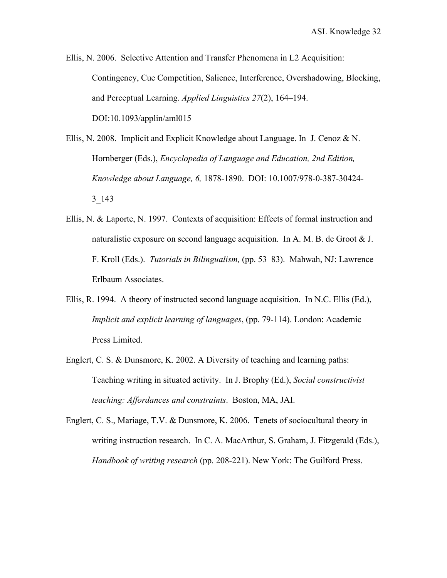Ellis, N. 2006. Selective Attention and Transfer Phenomena in L2 Acquisition: Contingency, Cue Competition, Salience, Interference, Overshadowing, Blocking, and Perceptual Learning. *Applied Linguistics 27*(2), 164–194. DOI:10.1093/applin/aml015

- Ellis, N. 2008. Implicit and Explicit Knowledge about Language. In J. Cenoz & N. Hornberger (Eds.), *Encyclopedia of Language and Education, 2nd Edition, Knowledge about Language, 6,* 1878-1890. DOI: 10.1007/978-0-387-30424- 3\_143
- Ellis, N. & Laporte, N. 1997. Contexts of acquisition: Effects of formal instruction and naturalistic exposure on second language acquisition. In A. M. B. de Groot  $& J.$ F. Kroll (Eds.). *Tutorials in Bilingualism,* (pp. 53–83). Mahwah, NJ: Lawrence Erlbaum Associates.
- Ellis, R. 1994. A theory of instructed second language acquisition. In N.C. Ellis (Ed.), *Implicit and explicit learning of languages*, (pp. 79-114). London: Academic Press Limited.
- Englert, C. S. & Dunsmore, K. 2002. A Diversity of teaching and learning paths: Teaching writing in situated activity. In J. Brophy (Ed.), *Social constructivist teaching: Affordances and constraints*. Boston, MA, JAI.
- Englert, C. S., Mariage, T.V. & Dunsmore, K. 2006. Tenets of sociocultural theory in writing instruction research. In C. A. MacArthur, S. Graham, J. Fitzgerald (Eds.), *Handbook of writing research* (pp. 208-221). New York: The Guilford Press.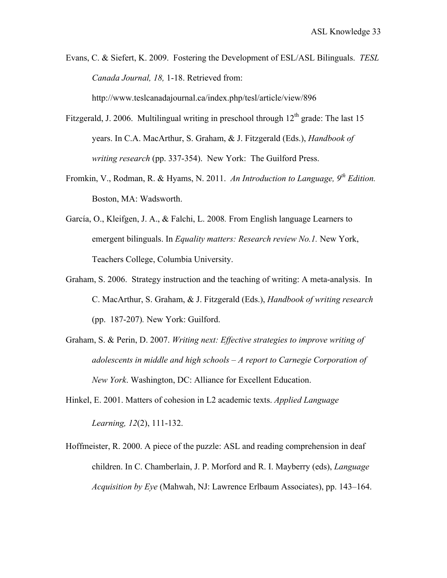Evans, C. & Siefert, K. 2009. Fostering the Development of ESL/ASL Bilinguals. *TESL Canada Journal, 18,* 1-18. Retrieved from:

http://www.teslcanadajournal.ca/index.php/tesl/article/view/896

- Fitzgerald, J. 2006. Multilingual writing in preschool through  $12<sup>th</sup>$  grade: The last 15 years. In C.A. MacArthur, S. Graham, & J. Fitzgerald (Eds.), *Handbook of writing research* (pp. 337-354). New York: The Guilford Press.
- Fromkin, V., Rodman, R. & Hyams, N. 2011. *An Introduction to Language, 9th Edition.*  Boston, MA: Wadsworth.
- García, O., Kleifgen, J. A., & Falchi, L. 2008*.* From English language Learners to emergent bilinguals. In *Equality matters: Research review No.1.* New York, Teachers College, Columbia University.
- Graham, S. 2006. Strategy instruction and the teaching of writing: A meta-analysis. In C. MacArthur, S. Graham, & J. Fitzgerald (Eds.), *Handbook of writing research* (pp. 187-207)*.* New York: Guilford.
- Graham, S. & Perin, D. 2007. *Writing next: Effective strategies to improve writing of adolescents in middle and high schools – A report to Carnegie Corporation of New York*. Washington, DC: Alliance for Excellent Education.
- Hinkel, E. 2001. Matters of cohesion in L2 academic texts. *Applied Language Learning, 12*(2), 111-132.
- Hoffmeister, R. 2000. A piece of the puzzle: ASL and reading comprehension in deaf children. In C. Chamberlain, J. P. Morford and R. I. Mayberry (eds), *Language Acquisition by Eye* (Mahwah, NJ: Lawrence Erlbaum Associates), pp. 143–164.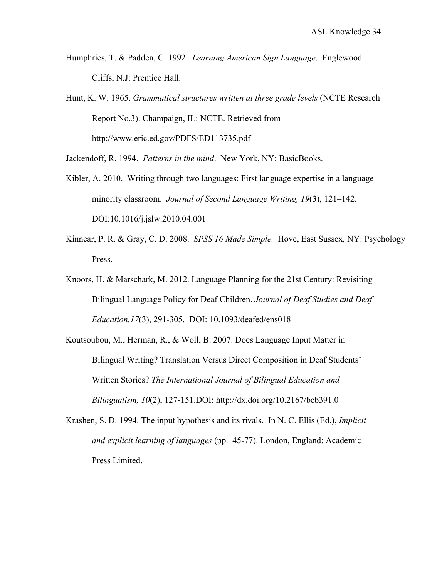- Humphries, T. & Padden, C. 1992. *Learning American Sign Language*. Englewood Cliffs, N.J: Prentice Hall.
- Hunt, K. W. 1965. *Grammatical structures written at three grade levels* (NCTE Research Report No.3). Champaign, IL: NCTE. Retrieved from http://www.eric.ed.gov/PDFS/ED113735.pdf

Jackendoff, R. 1994. *Patterns in the mind*. New York, NY: BasicBooks.

- Kibler, A. 2010. Writing through two languages: First language expertise in a language minority classroom. *Journal of Second Language Writing, 19*(3), 121–142. DOI:10.1016/j.jslw.2010.04.001
- Kinnear, P. R. & Gray, C. D. 2008. *SPSS 16 Made Simple.* Hove, East Sussex, NY: Psychology Press.
- Knoors, H. & Marschark, M. 2012. Language Planning for the 21st Century: Revisiting Bilingual Language Policy for Deaf Children. *Journal of Deaf Studies and Deaf Education.17*(3), 291-305. DOI: 10.1093/deafed/ens018
- Koutsoubou, M., Herman, R., & Woll, B. 2007. Does Language Input Matter in Bilingual Writing? Translation Versus Direct Composition in Deaf Students' Written Stories? *The International Journal of Bilingual Education and Bilingualism, 10*(2), 127-151.DOI: http://dx.doi.org/10.2167/beb391.0
- Krashen, S. D. 1994. The input hypothesis and its rivals. In N. C. Ellis (Ed.), *Implicit and explicit learning of languages* (pp. 45-77). London, England: Academic Press Limited.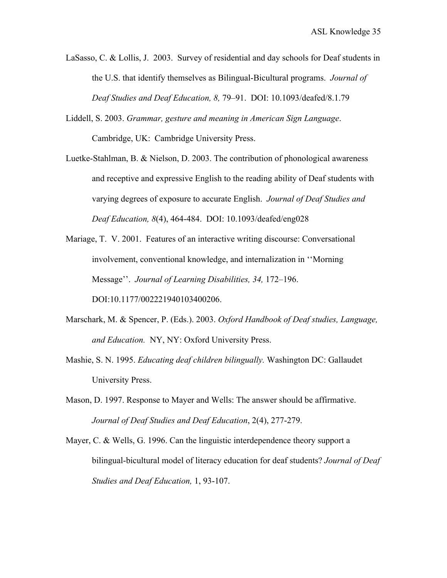- LaSasso, C. & Lollis, J. 2003. Survey of residential and day schools for Deaf students in the U.S. that identify themselves as Bilingual-Bicultural programs. *Journal of Deaf Studies and Deaf Education, 8,* 79–91. DOI: 10.1093/deafed/8.1.79
- Liddell, S. 2003. *Grammar, gesture and meaning in American Sign Language*. Cambridge, UK: Cambridge University Press.
- Luetke-Stahlman, B. & Nielson, D. 2003. The contribution of phonological awareness and receptive and expressive English to the reading ability of Deaf students with varying degrees of exposure to accurate English. *Journal of Deaf Studies and Deaf Education, 8*(4), 464-484. DOI: 10.1093/deafed/eng028
- Mariage, T. V. 2001. Features of an interactive writing discourse: Conversational involvement, conventional knowledge, and internalization in ''Morning Message''. *Journal of Learning Disabilities, 34,* 172–196. DOI:10.1177/002221940103400206.
- Marschark, M. & Spencer, P. (Eds.). 2003. *Oxford Handbook of Deaf studies, Language, and Education.* NY, NY: Oxford University Press.
- Mashie, S. N. 1995. *Educating deaf children bilingually.* Washington DC: Gallaudet University Press.
- Mason, D. 1997. Response to Mayer and Wells: The answer should be affirmative. *Journal of Deaf Studies and Deaf Education*, 2(4), 277-279.
- Mayer, C. & Wells, G. 1996. Can the linguistic interdependence theory support a bilingual-bicultural model of literacy education for deaf students? *Journal of Deaf Studies and Deaf Education,* 1, 93-107.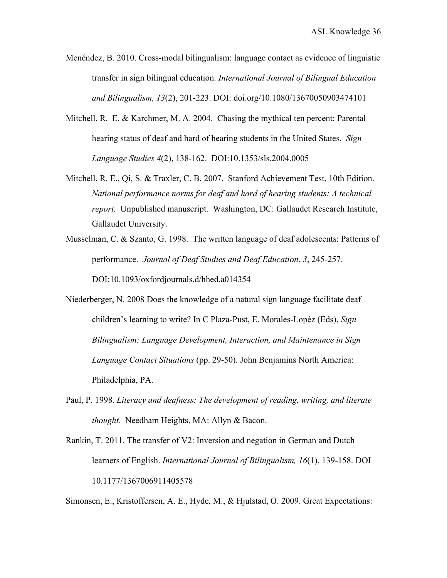- Menéndez, B. 2010. Cross-modal bilingualism: language contact as evidence of linguistic transfer in sign bilingual education. *International Journal of Bilingual Education and Bilingualism, 13*(2), 201-223. DOI: doi.org/10.1080/13670050903474101
- Mitchell, R. E. & Karchmer, M. A. 2004. Chasing the mythical ten percent: Parental hearing status of deaf and hard of hearing students in the United States. *Sign Language Studies 4*(2), 138-162. DOI:10.1353/sls.2004.0005
- Mitchell, R. E., Qi, S. & Traxler, C. B. 2007. Stanford Achievement Test, 10th Edition. *National performance norms for deaf and hard of hearing students: A technical report.* Unpublished manuscript. Washington, DC: Gallaudet Research Institute, Gallaudet University.
- Musselman, C. & Szanto, G. 1998. The written language of deaf adolescents: Patterns of performance. *Journal of Deaf Studies and Deaf Education*, *3*, 245-257. DOI:10.1093/oxfordjournals.d/hhed.a014354
- Niederberger, N. 2008 Does the knowledge of a natural sign language facilitate deaf children's learning to write? In C Plaza-Pust, E. Morales-Lopéz (Eds), *Sign Bilingualism: Language Development, Interaction, and Maintenance in Sign Language Contact Situations* (pp. 29-50). John Benjamins North America: Philadelphia, PA.
- Paul, P. 1998. *Literacy and deafness: The development of reading, writing, and literate thought*. Needham Heights, MA: Allyn & Bacon.
- Rankin, T. 2011. The transfer of V2: Inversion and negation in German and Dutch learners of English. *International Journal of Bilingualism, 16*(1), 139-158. DOI 10.1177/1367006911405578

Simonsen, E., Kristoffersen, A. E., Hyde, M., & Hjulstad, O. 2009. Great Expectations: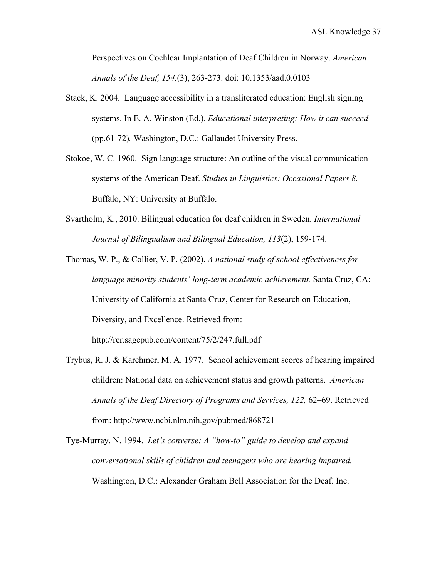Perspectives on Cochlear Implantation of Deaf Children in Norway. *American Annals of the Deaf, 154,*(3), 263-273. doi: 10.1353/aad.0.0103

- Stack, K. 2004. Language accessibility in a transliterated education: English signing systems. In E. A. Winston (Ed.). *Educational interpreting: How it can succeed*  (pp.61-72)*.* Washington, D.C.: Gallaudet University Press.
- Stokoe, W. C. 1960. Sign language structure: An outline of the visual communication systems of the American Deaf. *Studies in Linguistics: Occasional Papers 8.* Buffalo, NY: University at Buffalo.
- Svartholm, K., 2010. Bilingual education for deaf children in Sweden. *International Journal of Bilingualism and Bilingual Education, 113*(2), 159-174.

Thomas, W. P., & Collier, V. P. (2002). *A national study of school effectiveness for language minority students' long-term academic achievement.* Santa Cruz, CA: University of California at Santa Cruz, Center for Research on Education, Diversity, and Excellence. Retrieved from: http://rer.sagepub.com/content/75/2/247.full.pdf

Trybus, R. J. & Karchmer, M. A. 1977. School achievement scores of hearing impaired children: National data on achievement status and growth patterns. *American Annals of the Deaf Directory of Programs and Services, 122,* 62–69. Retrieved from: http://www.ncbi.nlm.nih.gov/pubmed/868721

Tye-Murray, N. 1994. *Let's converse: A "how-to" guide to develop and expand conversational skills of children and teenagers who are hearing impaired.*  Washington, D.C.: Alexander Graham Bell Association for the Deaf. Inc.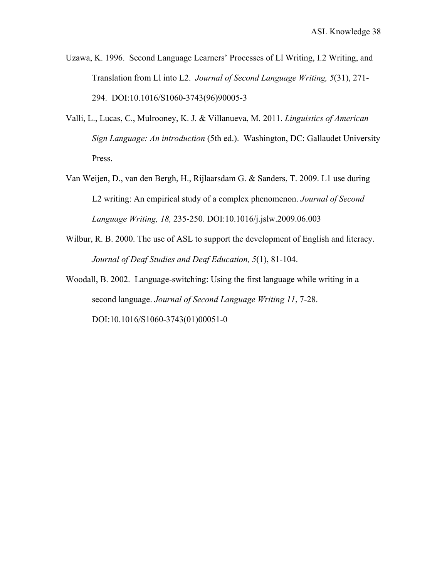- Uzawa, K. 1996. Second Language Learners' Processes of Ll Writing, I.2 Writing, and Translation from Ll into L2. *Journal of Second Language Writing, 5*(31), 271- 294. DOI:10.1016/S1060-3743(96)90005-3
- Valli, L., Lucas, C., Mulrooney, K. J. & Villanueva, M. 2011. *Linguistics of American Sign Language: An introduction* (5th ed.). Washington, DC: Gallaudet University Press.
- Van Weijen, D., van den Bergh, H., Rijlaarsdam G. & Sanders, T. 2009. L1 use during L2 writing: An empirical study of a complex phenomenon. *Journal of Second Language Writing, 18,* 235-250. DOI:10.1016/j.jslw.2009.06.003
- Wilbur, R. B. 2000. The use of ASL to support the development of English and literacy. *Journal of Deaf Studies and Deaf Education, 5*(1), 81-104.
- Woodall, B. 2002. Language-switching: Using the first language while writing in a second language. *Journal of Second Language Writing 11*, 7-28. DOI:10.1016/S1060-3743(01)00051-0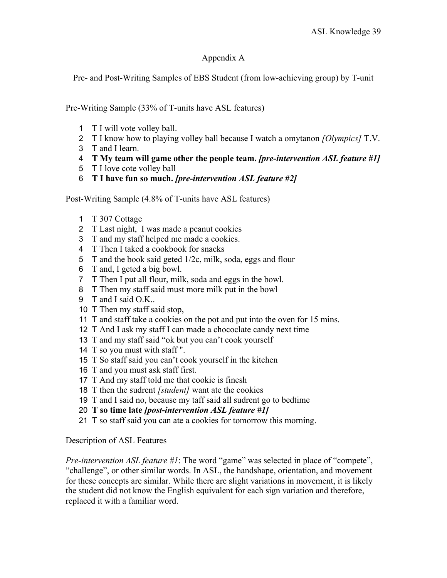# Appendix A

Pre- and Post-Writing Samples of EBS Student (from low-achieving group) by T-unit

Pre-Writing Sample (33% of T-units have ASL features)

- T I will vote volley ball.
- T I know how to playing volley ball because I watch a omytanon *[Olympics]* T.V.
- T and I learn.
- **T My team will game other the people team.** *[pre-intervention ASL feature #1]*
- T I love cote volley ball
- **T I have fun so much.** *[pre-intervention ASL feature #2]*

Post-Writing Sample (4.8% of T-units have ASL features)

- T 307 Cottage
- T Last night, I was made a peanut cookies
- T and my staff helped me made a cookies.
- T Then I taked a cookbook for snacks
- T and the book said geted 1/2c, milk, soda, eggs and flour
- T and, I geted a big bowl.
- T Then I put all flour, milk, soda and eggs in the bowl.
- T Then my staff said must more milk put in the bowl
- T and I said O.K..
- T Then my staff said stop,
- T and staff take a cookies on the pot and put into the oven for 15 mins.
- T And I ask my staff I can made a chococlate candy next time
- T and my staff said "ok but you can't cook yourself
- T so you must with staff ".
- T So staff said you can't cook yourself in the kitchen
- T and you must ask staff first.
- T And my staff told me that cookie is finesh
- T then the sudrent *[student]* want ate the cookies
- T and I said no, because my taff said all sudrent go to bedtime
- **T so time late** *[post-intervention ASL feature #1]*
- T so staff said you can ate a cookies for tomorrow this morning.

## Description of ASL Features

*Pre-intervention ASL feature #1*: The word "game" was selected in place of "compete", "challenge", or other similar words. In ASL, the handshape, orientation, and movement for these concepts are similar. While there are slight variations in movement, it is likely the student did not know the English equivalent for each sign variation and therefore, replaced it with a familiar word.